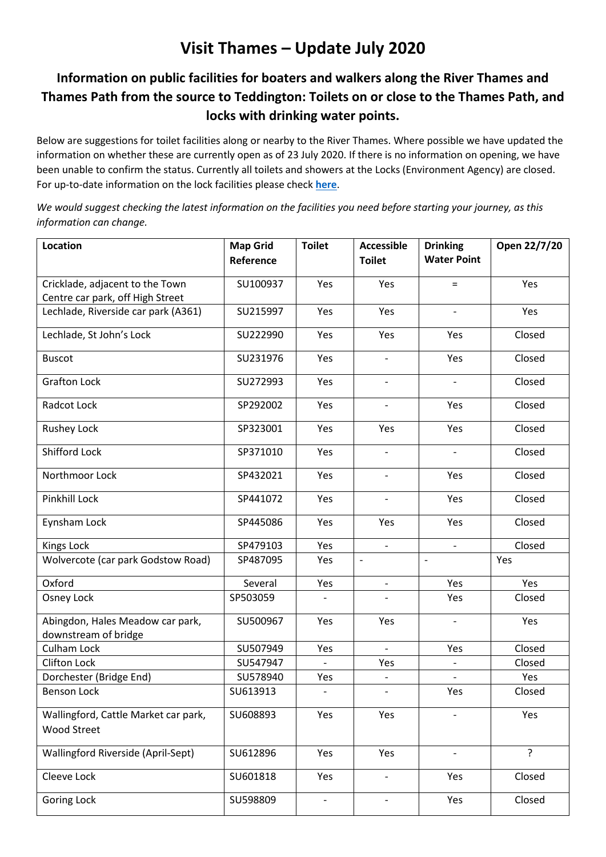## **Visit Thames – Update July 2020**

## **Information on public facilities for boaters and walkers along the River Thames and Thames Path from the source to Teddington: Toilets on or close to the Thames Path, and locks with drinking water points.**

Below are suggestions for toilet facilities along or nearby to the River Thames. Where possible we have updated the information on whether these are currently open as of 23 July 2020. If there is no information on opening, we have been unable to confirm the status. Currently all toilets and showers at the Locks (Environment Agency) are closed. For up-to-date information on the lock facilities please check **[here](https://www.gov.uk/guidance/river-thames-locks-and-facilities-for-boaters#lock-locations-and-other-facilities)**.

*We would suggest checking the latest information on the facilities you need before starting your journey, as this information can change.*

| Location                                                            | <b>Map Grid</b> | <b>Toilet</b>            | <b>Accessible</b>        | <b>Drinking</b>          | Open 22/7/20 |
|---------------------------------------------------------------------|-----------------|--------------------------|--------------------------|--------------------------|--------------|
|                                                                     | Reference       |                          | <b>Toilet</b>            | <b>Water Point</b>       |              |
|                                                                     | SU100937        | Yes                      | Yes                      |                          | Yes          |
| Cricklade, adjacent to the Town<br>Centre car park, off High Street |                 |                          |                          | $\equiv$                 |              |
| Lechlade, Riverside car park (A361)                                 | SU215997        | Yes                      | Yes                      | $\frac{1}{2}$            | Yes          |
|                                                                     |                 |                          |                          |                          |              |
| Lechlade, St John's Lock                                            | SU222990        | Yes                      | Yes                      | Yes                      | Closed       |
| <b>Buscot</b>                                                       | SU231976        | Yes                      | $\overline{\phantom{a}}$ | Yes                      | Closed       |
| <b>Grafton Lock</b>                                                 | SU272993        | Yes                      | $\blacksquare$           | $\overline{\phantom{a}}$ | Closed       |
| Radcot Lock                                                         | SP292002        | Yes                      | $\overline{\phantom{a}}$ | Yes                      | Closed       |
| <b>Rushey Lock</b>                                                  | SP323001        | Yes                      | Yes                      | Yes                      | Closed       |
| <b>Shifford Lock</b>                                                | SP371010        | Yes                      |                          |                          | Closed       |
| Northmoor Lock                                                      | SP432021        | Yes                      |                          | Yes                      | Closed       |
| Pinkhill Lock                                                       | SP441072        | Yes                      |                          | Yes                      | Closed       |
| Eynsham Lock                                                        | SP445086        | Yes                      | Yes                      | Yes                      | Closed       |
| Kings Lock                                                          | SP479103        | Yes                      | $\frac{1}{2}$            | $\overline{\phantom{a}}$ | Closed       |
| Wolvercote (car park Godstow Road)                                  | SP487095        | Yes                      |                          | $\overline{\phantom{a}}$ | Yes          |
| Oxford                                                              | Several         | Yes                      | $\overline{\phantom{a}}$ | Yes                      | Yes          |
| Osney Lock                                                          | SP503059        |                          |                          | Yes                      | Closed       |
| Abingdon, Hales Meadow car park,                                    | SU500967        | Yes                      | Yes                      |                          | Yes          |
| downstream of bridge<br>Culham Lock                                 | SU507949        | Yes                      | $\overline{\phantom{a}}$ | Yes                      | Closed       |
| <b>Clifton Lock</b>                                                 | SU547947        |                          | Yes                      |                          | Closed       |
| Dorchester (Bridge End)                                             | SU578940        | Yes                      |                          |                          | Yes          |
| <b>Benson Lock</b>                                                  | SU613913        | $\overline{\phantom{0}}$ | $\overline{\phantom{0}}$ | Yes                      | Closed       |
| Wallingford, Cattle Market car park,                                | SU608893        | Yes                      | Yes                      |                          | Yes          |
| <b>Wood Street</b>                                                  |                 |                          |                          |                          |              |
| Wallingford Riverside (April-Sept)                                  | SU612896        | Yes                      | Yes                      | $\qquad \qquad -$        | $\tilde{?}$  |
| Cleeve Lock                                                         | SU601818        | Yes                      |                          | Yes                      | Closed       |
| <b>Goring Lock</b>                                                  | SU598809        |                          |                          | Yes                      | Closed       |